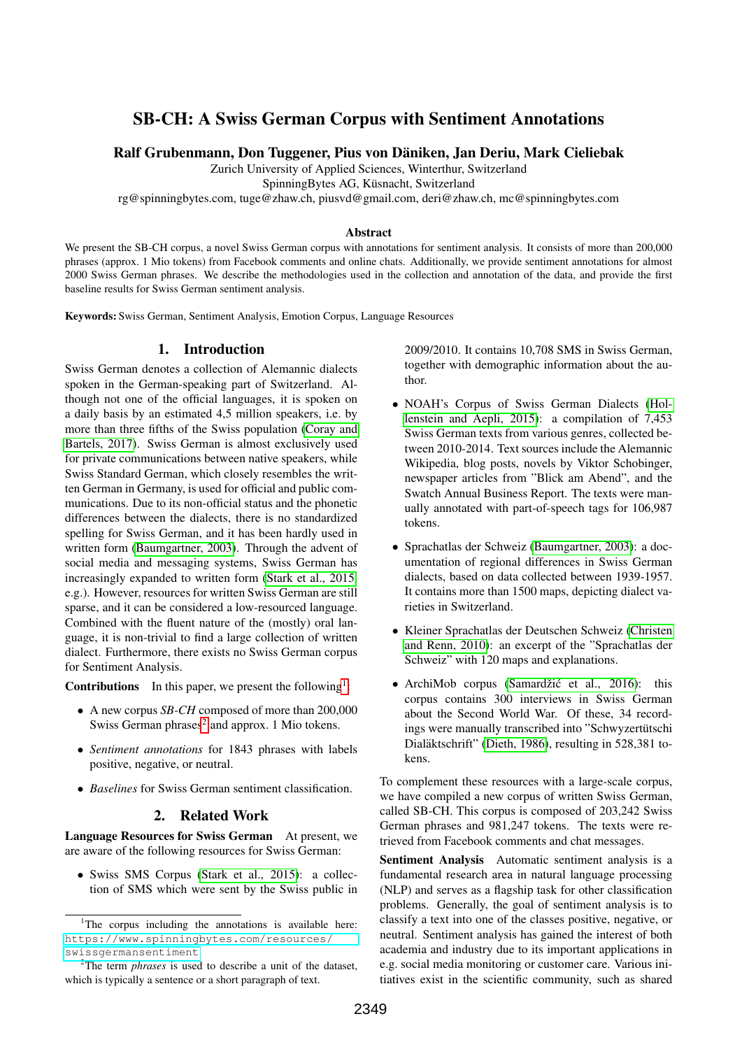# SB-CH: A Swiss German Corpus with Sentiment Annotations

Ralf Grubenmann, Don Tuggener, Pius von Daniken, Jan Deriu, Mark Cieliebak ¨

Zurich University of Applied Sciences, Winterthur, Switzerland

SpinningBytes AG, Küsnacht, Switzerland

rg@spinningbytes.com, tuge@zhaw.ch, piusvd@gmail.com, deri@zhaw.ch, mc@spinningbytes.com

#### Abstract

We present the SB-CH corpus, a novel Swiss German corpus with annotations for sentiment analysis. It consists of more than 200,000 phrases (approx. 1 Mio tokens) from Facebook comments and online chats. Additionally, we provide sentiment annotations for almost 2000 Swiss German phrases. We describe the methodologies used in the collection and annotation of the data, and provide the first baseline results for Swiss German sentiment analysis.

Keywords: Swiss German, Sentiment Analysis, Emotion Corpus, Language Resources

# 1. Introduction

Swiss German denotes a collection of Alemannic dialects spoken in the German-speaking part of Switzerland. Although not one of the official languages, it is spoken on a daily basis by an estimated 4,5 million speakers, i.e. by more than three fifths of the Swiss population [\(Coray and](#page-4-0) [Bartels, 2017\)](#page-4-0). Swiss German is almost exclusively used for private communications between native speakers, while Swiss Standard German, which closely resembles the written German in Germany, is used for official and public communications. Due to its non-official status and the phonetic differences between the dialects, there is no standardized spelling for Swiss German, and it has been hardly used in written form [\(Baumgartner, 2003\)](#page-3-0). Through the advent of social media and messaging systems, Swiss German has increasingly expanded to written form [\(Stark et al., 2015,](#page-4-1) e.g.). However, resources for written Swiss German are still sparse, and it can be considered a low-resourced language. Combined with the fluent nature of the (mostly) oral language, it is non-trivial to find a large collection of written dialect. Furthermore, there exists no Swiss German corpus for Sentiment Analysis.

**Contributions** In this paper, we present the following<sup>[1](#page-0-0)</sup>:

- A new corpus *SB-CH* composed of more than 200,000 Swiss German phrases<sup>[2](#page-0-1)</sup> and approx. 1 Mio tokens.
- *Sentiment annotations* for 1843 phrases with labels positive, negative, or neutral.
- *Baselines* for Swiss German sentiment classification.

#### 2. Related Work

Language Resources for Swiss German At present, we are aware of the following resources for Swiss German:

• Swiss SMS Corpus [\(Stark et al., 2015\)](#page-4-1): a collection of SMS which were sent by the Swiss public in 2009/2010. It contains 10,708 SMS in Swiss German, together with demographic information about the author.

- NOAH's Corpus of Swiss German Dialects [\(Hol](#page-4-2)[lenstein and Aepli, 2015\)](#page-4-2): a compilation of 7,453 Swiss German texts from various genres, collected between 2010-2014. Text sources include the Alemannic Wikipedia, blog posts, novels by Viktor Schobinger, newspaper articles from "Blick am Abend", and the Swatch Annual Business Report. The texts were manually annotated with part-of-speech tags for 106,987 tokens.
- Sprachatlas der Schweiz [\(Baumgartner, 2003\)](#page-3-0): a documentation of regional differences in Swiss German dialects, based on data collected between 1939-1957. It contains more than 1500 maps, depicting dialect varieties in Switzerland.
- Kleiner Sprachatlas der Deutschen Schweiz [\(Christen](#page-4-3) [and Renn, 2010\)](#page-4-3): an excerpt of the "Sprachatlas der Schweiz" with 120 maps and explanations.
- ArchiMob corpus (Samardžić et al., 2016): this corpus contains 300 interviews in Swiss German about the Second World War. Of these, 34 recordings were manually transcribed into "Schwyzertutschi ¨ Dialäktschrift" [\(Dieth, 1986\)](#page-4-5), resulting in 528,381 tokens.

To complement these resources with a large-scale corpus, we have compiled a new corpus of written Swiss German, called SB-CH. This corpus is composed of 203,242 Swiss German phrases and 981,247 tokens. The texts were retrieved from Facebook comments and chat messages.

Sentiment Analysis Automatic sentiment analysis is a fundamental research area in natural language processing (NLP) and serves as a flagship task for other classification problems. Generally, the goal of sentiment analysis is to classify a text into one of the classes positive, negative, or neutral. Sentiment analysis has gained the interest of both academia and industry due to its important applications in e.g. social media monitoring or customer care. Various initiatives exist in the scientific community, such as shared

<span id="page-0-0"></span><sup>&</sup>lt;sup>1</sup>The corpus including the annotations is available here: [https://www.spinningbytes.com/resources/](https://www.spinningbytes.com/resources/swissgermansentiment) [swissgermansentiment](https://www.spinningbytes.com/resources/swissgermansentiment)

<span id="page-0-1"></span><sup>2</sup>The term *phrases* is used to describe a unit of the dataset, which is typically a sentence or a short paragraph of text.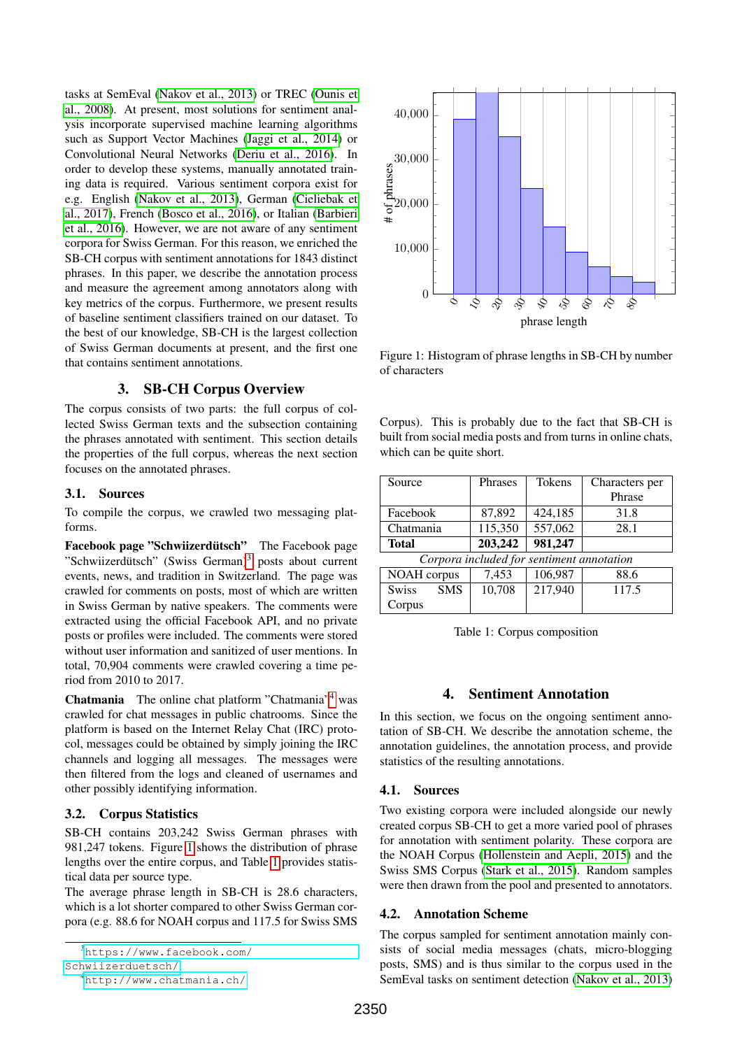tasks at SemEval [\(Nakov et al., 2013\)](#page-4-6) or TREC [\(Ounis et](#page-4-7) [al., 2008\)](#page-4-7). At present, most solutions for sentiment analysis incorporate supervised machine learning algorithms such as Support Vector Machines [\(Jaggi et al., 2014\)](#page-4-8) or Convolutional Neural Networks [\(Deriu et al., 2016\)](#page-4-9). In order to develop these systems, manually annotated training data is required. Various sentiment corpora exist for e.g. English [\(Nakov et al., 2013\)](#page-4-6), German [\(Cieliebak et](#page-4-10) [al., 2017\)](#page-4-10), French [\(Bosco et al., 2016\)](#page-3-1), or Italian [\(Barbieri](#page-3-2) [et al., 2016\)](#page-3-2). However, we are not aware of any sentiment corpora for Swiss German. For this reason, we enriched the SB-CH corpus with sentiment annotations for 1843 distinct phrases. In this paper, we describe the annotation process and measure the agreement among annotators along with key metrics of the corpus. Furthermore, we present results of baseline sentiment classifiers trained on our dataset. To the best of our knowledge, SB-CH is the largest collection of Swiss German documents at present, and the first one that contains sentiment annotations.

## 3. SB-CH Corpus Overview

The corpus consists of two parts: the full corpus of collected Swiss German texts and the subsection containing the phrases annotated with sentiment. This section details the properties of the full corpus, whereas the next section focuses on the annotated phrases.

#### 3.1. Sources

To compile the corpus, we crawled two messaging platforms.

Facebook page "Schwiizerdütsch" The Facebook page "Schwiizerdütsch" (Swiss German)<sup>[3](#page-1-0)</sup> posts about current events, news, and tradition in Switzerland. The page was crawled for comments on posts, most of which are written in Swiss German by native speakers. The comments were extracted using the official Facebook API, and no private posts or profiles were included. The comments were stored without user information and sanitized of user mentions. In total, 70,904 comments were crawled covering a time period from 2010 to 2017.

Chatmania The online chat platform "Chatmania"[4](#page-1-1) was crawled for chat messages in public chatrooms. Since the platform is based on the Internet Relay Chat (IRC) protocol, messages could be obtained by simply joining the IRC channels and logging all messages. The messages were then filtered from the logs and cleaned of usernames and other possibly identifying information.

#### 3.2. Corpus Statistics

SB-CH contains 203,242 Swiss German phrases with 981,247 tokens. Figure [1](#page-1-2) shows the distribution of phrase lengths over the entire corpus, and Table [1](#page-1-3) provides statistical data per source type.

The average phrase length in SB-CH is 28.6 characters, which is a lot shorter compared to other Swiss German corpora (e.g. 88.6 for NOAH corpus and 117.5 for Swiss SMS



<span id="page-1-2"></span>Figure 1: Histogram of phrase lengths in SB-CH by number of characters

Corpus). This is probably due to the fact that SB-CH is built from social media posts and from turns in online chats, which can be quite short.

| Source                                    | Phrases | <b>Tokens</b> | Characters per |  |  |  |
|-------------------------------------------|---------|---------------|----------------|--|--|--|
|                                           |         |               | Phrase         |  |  |  |
| Facebook                                  | 87,892  | 424,185       | 31.8           |  |  |  |
| Chatmania                                 | 115,350 | 557,062       | 28.1           |  |  |  |
| <b>Total</b>                              | 203,242 | 981,247       |                |  |  |  |
| Corpora included for sentiment annotation |         |               |                |  |  |  |
| NOAH corpus                               | 7,453   | 106,987       | 88.6           |  |  |  |
| <b>Swiss</b><br><b>SMS</b>                | 10,708  | 217,940       | 117.5          |  |  |  |

<span id="page-1-3"></span>Table 1: Corpus composition

# 4. Sentiment Annotation

In this section, we focus on the ongoing sentiment annotation of SB-CH. We describe the annotation scheme, the annotation guidelines, the annotation process, and provide statistics of the resulting annotations.

#### 4.1. Sources

Corpus

Two existing corpora were included alongside our newly created corpus SB-CH to get a more varied pool of phrases for annotation with sentiment polarity. These corpora are the NOAH Corpus [\(Hollenstein and Aepli, 2015\)](#page-4-2) and the Swiss SMS Corpus [\(Stark et al., 2015\)](#page-4-1). Random samples were then drawn from the pool and presented to annotators.

#### 4.2. Annotation Scheme

The corpus sampled for sentiment annotation mainly consists of social media messages (chats, micro-blogging posts, SMS) and is thus similar to the corpus used in the SemEval tasks on sentiment detection [\(Nakov et al., 2013\)](#page-4-6)

<span id="page-1-0"></span><sup>3</sup>[https://www.facebook.com/](https://www.facebook.com/Schwiizerduetsch/)

[Schwiizerduetsch/](https://www.facebook.com/Schwiizerduetsch/)

<span id="page-1-1"></span><sup>4</sup><http://www.chatmania.ch/>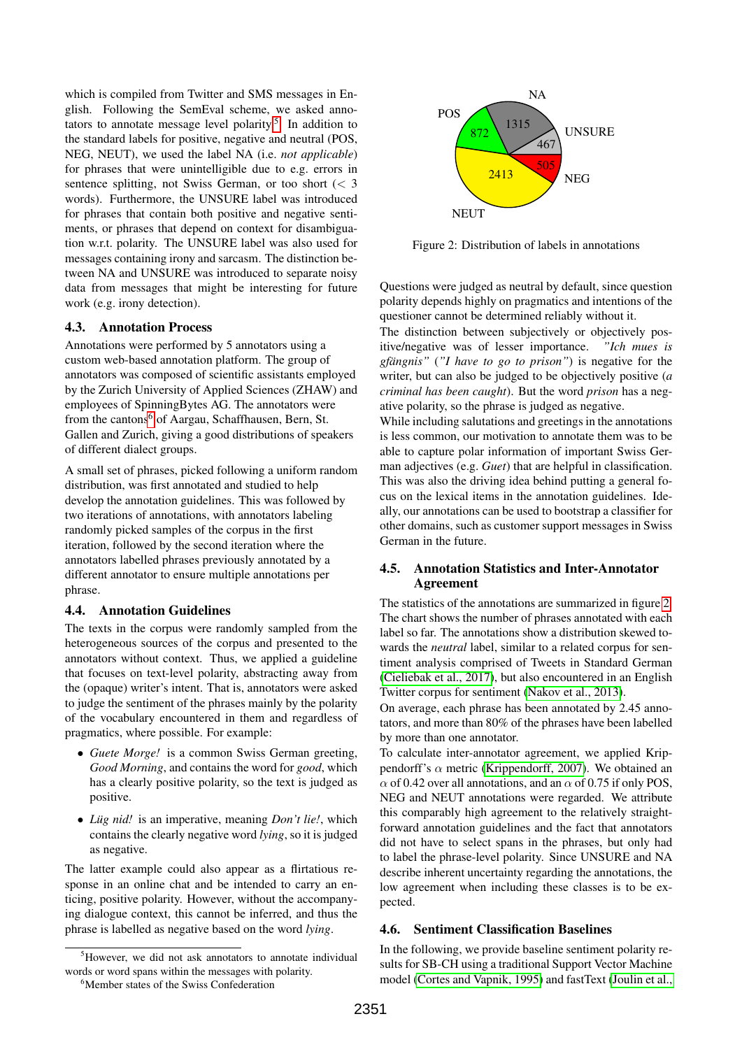which is compiled from Twitter and SMS messages in English. Following the SemEval scheme, we asked anno-tators to annotate message level polarity.<sup>[5](#page-2-0)</sup> In addition to the standard labels for positive, negative and neutral (POS, NEG, NEUT), we used the label NA (i.e. *not applicable*) for phrases that were unintelligible due to e.g. errors in sentence splitting, not Swiss German, or too short  $\langle \, 3 \rangle$ words). Furthermore, the UNSURE label was introduced for phrases that contain both positive and negative sentiments, or phrases that depend on context for disambiguation w.r.t. polarity. The UNSURE label was also used for messages containing irony and sarcasm. The distinction between NA and UNSURE was introduced to separate noisy data from messages that might be interesting for future work (e.g. irony detection).

## 4.3. Annotation Process

Annotations were performed by 5 annotators using a custom web-based annotation platform. The group of annotators was composed of scientific assistants employed by the Zurich University of Applied Sciences (ZHAW) and employees of SpinningBytes AG. The annotators were from the cantons<sup>[6](#page-2-1)</sup> of Aargau, Schaffhausen, Bern, St. Gallen and Zurich, giving a good distributions of speakers of different dialect groups.

A small set of phrases, picked following a uniform random distribution, was first annotated and studied to help develop the annotation guidelines. This was followed by two iterations of annotations, with annotators labeling randomly picked samples of the corpus in the first iteration, followed by the second iteration where the annotators labelled phrases previously annotated by a different annotator to ensure multiple annotations per phrase.

#### 4.4. Annotation Guidelines

The texts in the corpus were randomly sampled from the heterogeneous sources of the corpus and presented to the annotators without context. Thus, we applied a guideline that focuses on text-level polarity, abstracting away from the (opaque) writer's intent. That is, annotators were asked to judge the sentiment of the phrases mainly by the polarity of the vocabulary encountered in them and regardless of pragmatics, where possible. For example:

- *Guete Morge!* is a common Swiss German greeting, *Good Morning*, and contains the word for *good*, which has a clearly positive polarity, so the text is judged as positive.
- *Lug nid!* is an imperative, meaning *Don't lie!*, which contains the clearly negative word *lying*, so it is judged as negative.

The latter example could also appear as a flirtatious response in an online chat and be intended to carry an enticing, positive polarity. However, without the accompanying dialogue context, this cannot be inferred, and thus the phrase is labelled as negative based on the word *lying*.



<span id="page-2-2"></span>Figure 2: Distribution of labels in annotations

Questions were judged as neutral by default, since question polarity depends highly on pragmatics and intentions of the questioner cannot be determined reliably without it.

The distinction between subjectively or objectively positive/negative was of lesser importance. *"Ich mues is gfangnis" ¨* (*"I have to go to prison"*) is negative for the writer, but can also be judged to be objectively positive (*a criminal has been caught*). But the word *prison* has a negative polarity, so the phrase is judged as negative.

While including salutations and greetings in the annotations is less common, our motivation to annotate them was to be able to capture polar information of important Swiss German adjectives (e.g. *Guet*) that are helpful in classification. This was also the driving idea behind putting a general focus on the lexical items in the annotation guidelines. Ideally, our annotations can be used to bootstrap a classifier for other domains, such as customer support messages in Swiss German in the future.

## 4.5. Annotation Statistics and Inter-Annotator Agreement

The statistics of the annotations are summarized in figure [2.](#page-2-2) The chart shows the number of phrases annotated with each label so far. The annotations show a distribution skewed towards the *neutral* label, similar to a related corpus for sentiment analysis comprised of Tweets in Standard German [\(Cieliebak et al., 2017\)](#page-4-10), but also encountered in an English Twitter corpus for sentiment [\(Nakov et al., 2013\)](#page-4-6).

On average, each phrase has been annotated by 2.45 annotators, and more than 80% of the phrases have been labelled by more than one annotator.

To calculate inter-annotator agreement, we applied Krippendorff's  $\alpha$  metric [\(Krippendorff, 2007\)](#page-4-11). We obtained an  $\alpha$  of 0.42 over all annotations, and an  $\alpha$  of 0.75 if only POS, NEG and NEUT annotations were regarded. We attribute this comparably high agreement to the relatively straightforward annotation guidelines and the fact that annotators did not have to select spans in the phrases, but only had to label the phrase-level polarity. Since UNSURE and NA describe inherent uncertainty regarding the annotations, the low agreement when including these classes is to be expected.

#### 4.6. Sentiment Classification Baselines

In the following, we provide baseline sentiment polarity results for SB-CH using a traditional Support Vector Machine model [\(Cortes and Vapnik, 1995\)](#page-4-12) and fastText [\(Joulin et al.,](#page-4-13)

<span id="page-2-0"></span><sup>&</sup>lt;sup>5</sup>However, we did not ask annotators to annotate individual words or word spans within the messages with polarity.

<span id="page-2-1"></span><sup>&</sup>lt;sup>6</sup>Member states of the Swiss Confederation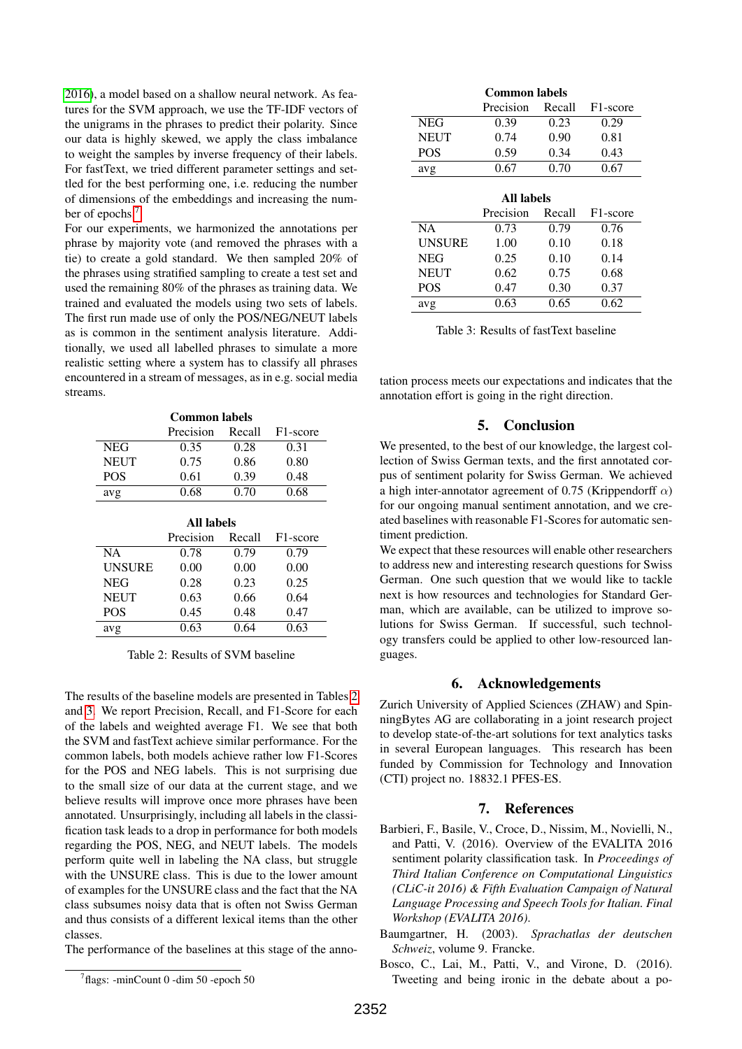[2016\)](#page-4-13), a model based on a shallow neural network. As features for the SVM approach, we use the TF-IDF vectors of the unigrams in the phrases to predict their polarity. Since our data is highly skewed, we apply the class imbalance to weight the samples by inverse frequency of their labels. For fastText, we tried different parameter settings and settled for the best performing one, i.e. reducing the number of dimensions of the embeddings and increasing the number of epochs.[7](#page-3-3)

For our experiments, we harmonized the annotations per phrase by majority vote (and removed the phrases with a tie) to create a gold standard. We then sampled 20% of the phrases using stratified sampling to create a test set and used the remaining 80% of the phrases as training data. We trained and evaluated the models using two sets of labels. The first run made use of only the POS/NEG/NEUT labels as is common in the sentiment analysis literature. Additionally, we used all labelled phrases to simulate a more realistic setting where a system has to classify all phrases encountered in a stream of messages, as in e.g. social media streams.

| Common labels |           |        |                       |
|---------------|-----------|--------|-----------------------|
|               | Precision | Recall | F <sub>1</sub> -score |
| NEG           | 0.35      | 0.28   | 0.31                  |
| <b>NEUT</b>   | 0.75      | 0.86   | 0.80                  |
| POS.          | 0.61      | 0.39   | 0.48                  |
| avg           | 0.68      | 0.70   | 0.68                  |

| <b>All labels</b> |           |        |                       |
|-------------------|-----------|--------|-----------------------|
|                   | Precision | Recall | F <sub>1</sub> -score |
| <b>NA</b>         | 0.78      | 0.79   | 0.79                  |
| <b>UNSURE</b>     | 0.00      | 0.00   | 0.00                  |
| <b>NEG</b>        | 0.28      | 0.23   | 0.25                  |
| <b>NEUT</b>       | 0.63      | 0.66   | 0.64                  |
| <b>POS</b>        | 0.45      | 0.48   | 0.47                  |
| avg               | 0.63      | 0.64   | 0.63                  |

<span id="page-3-4"></span>Table 2: Results of SVM baseline

The results of the baseline models are presented in Tables [2](#page-3-4) and [3.](#page-3-5) We report Precision, Recall, and F1-Score for each of the labels and weighted average F1. We see that both the SVM and fastText achieve similar performance. For the common labels, both models achieve rather low F1-Scores for the POS and NEG labels. This is not surprising due to the small size of our data at the current stage, and we believe results will improve once more phrases have been annotated. Unsurprisingly, including all labels in the classification task leads to a drop in performance for both models regarding the POS, NEG, and NEUT labels. The models perform quite well in labeling the NA class, but struggle with the UNSURE class. This is due to the lower amount of examples for the UNSURE class and the fact that the NA class subsumes noisy data that is often not Swiss German and thus consists of a different lexical items than the other classes.

The performance of the baselines at this stage of the anno-

| <b>Common labels</b> |           |        |                       |  |
|----------------------|-----------|--------|-----------------------|--|
|                      | Precision | Recall | F <sub>1</sub> -score |  |
| <b>NEG</b>           | 0.39      | 0.23   | 0.29                  |  |
| <b>NEUT</b>          | 0.74      | 0.90   | 0.81                  |  |
| <b>POS</b>           | 0.59      | 0.34   | 0.43                  |  |
| avg                  | 0.67      | 0.70   | 0.67                  |  |
|                      |           |        |                       |  |
| All labels           |           |        |                       |  |
|                      | Precision | Recall | F <sub>1</sub> -score |  |
| <b>NA</b>            | 0.73      | 0.79   | 0.76                  |  |
| <b>UNSURE</b>        | 1.00      | 0.10   | 0.18                  |  |
|                      |           |        |                       |  |
| <b>NEG</b>           | 0.25      | 0.10   | 0.14                  |  |

<span id="page-3-5"></span>Table 3: Results of fastText baseline

POS 0.47 0.30 0.37 avg 0.63 0.65 0.62

tation process meets our expectations and indicates that the annotation effort is going in the right direction.

## 5. Conclusion

We presented, to the best of our knowledge, the largest collection of Swiss German texts, and the first annotated corpus of sentiment polarity for Swiss German. We achieved a high inter-annotator agreement of 0.75 (Krippendorff  $\alpha$ ) for our ongoing manual sentiment annotation, and we created baselines with reasonable F1-Scores for automatic sentiment prediction.

We expect that these resources will enable other researchers to address new and interesting research questions for Swiss German. One such question that we would like to tackle next is how resources and technologies for Standard German, which are available, can be utilized to improve solutions for Swiss German. If successful, such technology transfers could be applied to other low-resourced languages.

#### 6. Acknowledgements

Zurich University of Applied Sciences (ZHAW) and SpinningBytes AG are collaborating in a joint research project to develop state-of-the-art solutions for text analytics tasks in several European languages. This research has been funded by Commission for Technology and Innovation (CTI) project no. 18832.1 PFES-ES.

#### 7. References

- <span id="page-3-2"></span>Barbieri, F., Basile, V., Croce, D., Nissim, M., Novielli, N., and Patti, V. (2016). Overview of the EVALITA 2016 sentiment polarity classification task. In *Proceedings of Third Italian Conference on Computational Linguistics (CLiC-it 2016) & Fifth Evaluation Campaign of Natural Language Processing and Speech Tools for Italian. Final Workshop (EVALITA 2016)*.
- <span id="page-3-0"></span>Baumgartner, H. (2003). *Sprachatlas der deutschen Schweiz*, volume 9. Francke.
- <span id="page-3-1"></span>Bosco, C., Lai, M., Patti, V., and Virone, D. (2016). Tweeting and being ironic in the debate about a po-

<span id="page-3-3"></span><sup>7</sup> flags: -minCount 0 -dim 50 -epoch 50